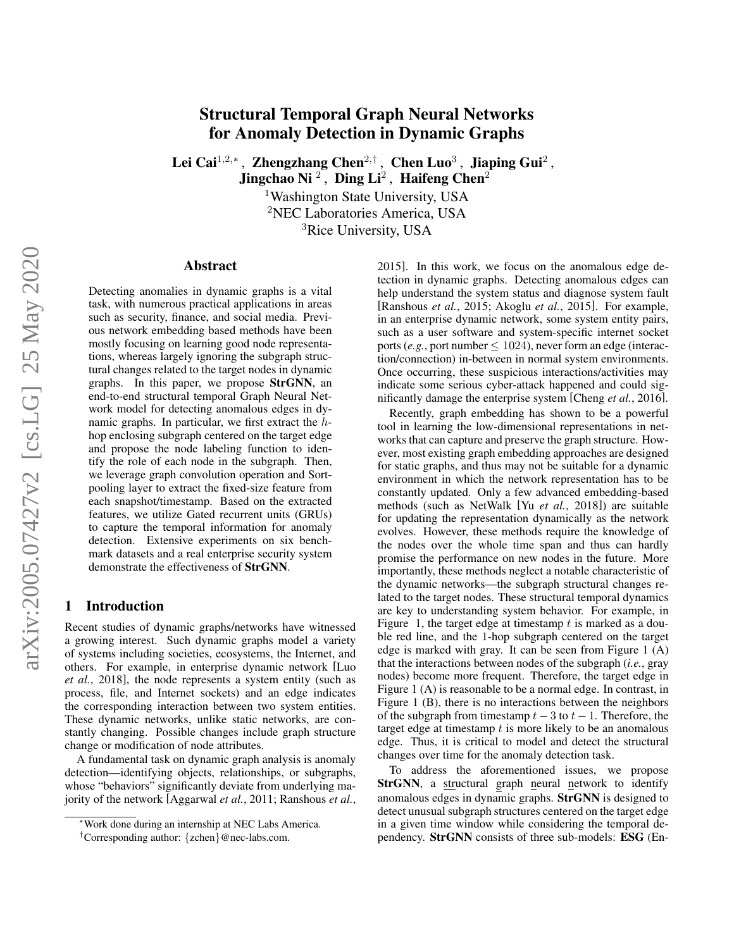# Structural Temporal Graph Neural Networks for Anomaly Detection in Dynamic Graphs

Lei Cai<sup>1,2,</sup>\*, Zhengzhang Chen<sup>2,†</sup>, Chen Luo<sup>3</sup>, Jiaping Gui<sup>2</sup>,

Jingchao Ni $\frac{2}{3}$ , Ding Li<sup>2</sup>, Haifeng Chen<sup>2</sup>

<sup>1</sup>Washington State University, USA <sup>2</sup>NEC Laboratories America, USA

<sup>3</sup>Rice University, USA

#### Abstract

Detecting anomalies in dynamic graphs is a vital task, with numerous practical applications in areas such as security, finance, and social media. Previous network embedding based methods have been mostly focusing on learning good node representations, whereas largely ignoring the subgraph structural changes related to the target nodes in dynamic graphs. In this paper, we propose StrGNN, an end-to-end structural temporal Graph Neural Network model for detecting anomalous edges in dynamic graphs. In particular, we first extract the hhop enclosing subgraph centered on the target edge and propose the node labeling function to identify the role of each node in the subgraph. Then, we leverage graph convolution operation and Sortpooling layer to extract the fixed-size feature from each snapshot/timestamp. Based on the extracted features, we utilize Gated recurrent units (GRUs) to capture the temporal information for anomaly detection. Extensive experiments on six benchmark datasets and a real enterprise security system demonstrate the effectiveness of StrGNN.

#### 1 Introduction

Recent studies of dynamic graphs/networks have witnessed a growing interest. Such dynamic graphs model a variety of systems including societies, ecosystems, the Internet, and others. For example, in enterprise dynamic network [\[Luo](#page-6-0) *et al.*[, 2018\]](#page-6-0), the node represents a system entity (such as process, file, and Internet sockets) and an edge indicates the corresponding interaction between two system entities. These dynamic networks, unlike static networks, are constantly changing. Possible changes include graph structure change or modification of node attributes.

A fundamental task on dynamic graph analysis is anomaly detection—identifying objects, relationships, or subgraphs, whose "behaviors" significantly deviate from underlying majority of the network [\[Aggarwal](#page-5-0) *et al.*, 2011; [Ranshous](#page-6-1) *et al.*, [2015\]](#page-6-1). In this work, we focus on the anomalous edge detection in dynamic graphs. Detecting anomalous edges can help understand the system status and diagnose system fault [\[Ranshous](#page-6-1) *et al.*, 2015; [Akoglu](#page-5-1) *et al.*, 2015]. For example, in an enterprise dynamic network, some system entity pairs, such as a user software and system-specific internet socket ports (*e.g.*, port number  $\leq 1024$ ), never form an edge (interaction/connection) in-between in normal system environments. Once occurring, these suspicious interactions/activities may indicate some serious cyber-attack happened and could significantly damage the enterprise system [\[Cheng](#page-5-2) *et al.*, 2016].

Recently, graph embedding has shown to be a powerful tool in learning the low-dimensional representations in networks that can capture and preserve the graph structure. However, most existing graph embedding approaches are designed for static graphs, and thus may not be suitable for a dynamic environment in which the network representation has to be constantly updated. Only a few advanced embedding-based methods (such as NetWalk [Yu *et al.*[, 2018\]](#page-6-2)) are suitable for updating the representation dynamically as the network evolves. However, these methods require the knowledge of the nodes over the whole time span and thus can hardly promise the performance on new nodes in the future. More importantly, these methods neglect a notable characteristic of the dynamic networks—the subgraph structural changes related to the target nodes. These structural temporal dynamics are key to understanding system behavior. For example, in Figure [1,](#page-1-0) the target edge at timestamp  $t$  is marked as a double red line, and the 1-hop subgraph centered on the target edge is marked with gray. It can be seen from Figure [1](#page-1-0) (A) that the interactions between nodes of the subgraph (*i.e.*, gray nodes) become more frequent. Therefore, the target edge in Figure [1](#page-1-0) (A) is reasonable to be a normal edge. In contrast, in Figure [1](#page-1-0) (B), there is no interactions between the neighbors of the subgraph from timestamp  $t - 3$  to  $t - 1$ . Therefore, the target edge at timestamp  $t$  is more likely to be an anomalous edge. Thus, it is critical to model and detect the structural changes over time for the anomaly detection task.

To address the aforementioned issues, we propose StrGNN, a structural graph neural network to identify anomalous edges in dynamic graphs. StrGNN is designed to detect unusual subgraph structures centered on the target edge in a given time window while considering the temporal dependency. StrGNN consists of three sub-models: ESG (En-

<sup>∗</sup>[Work done during an internship at NEC Labs America.](#page-6-1)

<sup>†</sup>[Corresponding author:](#page-6-1) {zchen}@nec-labs.com.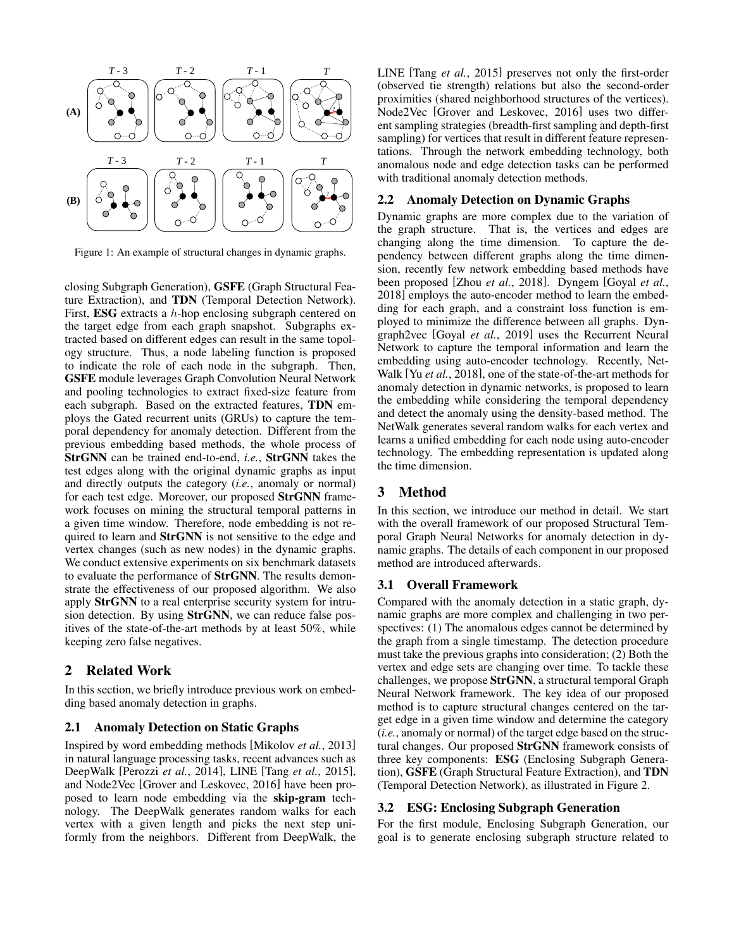<span id="page-1-0"></span>

Figure 1: An example of structural changes in dynamic graphs.

closing Subgraph Generation), GSFE (Graph Structural Feature Extraction), and TDN (Temporal Detection Network). First, ESG extracts a h-hop enclosing subgraph centered on the target edge from each graph snapshot. Subgraphs extracted based on different edges can result in the same topology structure. Thus, a node labeling function is proposed to indicate the role of each node in the subgraph. Then, GSFE module leverages Graph Convolution Neural Network and pooling technologies to extract fixed-size feature from each subgraph. Based on the extracted features, TDN employs the Gated recurrent units (GRUs) to capture the temporal dependency for anomaly detection. Different from the previous embedding based methods, the whole process of StrGNN can be trained end-to-end, *i.e.*, StrGNN takes the test edges along with the original dynamic graphs as input and directly outputs the category (*i.e.*, anomaly or normal) for each test edge. Moreover, our proposed StrGNN framework focuses on mining the structural temporal patterns in a given time window. Therefore, node embedding is not required to learn and StrGNN is not sensitive to the edge and vertex changes (such as new nodes) in the dynamic graphs. We conduct extensive experiments on six benchmark datasets to evaluate the performance of StrGNN. The results demonstrate the effectiveness of our proposed algorithm. We also apply StrGNN to a real enterprise security system for intrusion detection. By using StrGNN, we can reduce false positives of the state-of-the-art methods by at least 50%, while keeping zero false negatives.

## 2 Related Work

In this section, we briefly introduce previous work on embedding based anomaly detection in graphs.

#### 2.1 Anomaly Detection on Static Graphs

Inspired by word embedding methods [\[Mikolov](#page-6-3) *et al.*, 2013] in natural language processing tasks, recent advances such as DeepWalk [\[Perozzi](#page-6-4) *et al.*, 2014], LINE [Tang *et al.*[, 2015\]](#page-6-5), and Node2Vec [\[Grover and Leskovec, 2016\]](#page-6-6) have been proposed to learn node embedding via the skip-gram technology. The DeepWalk generates random walks for each vertex with a given length and picks the next step uniformly from the neighbors. Different from DeepWalk, the LINE [Tang *et al.*[, 2015\]](#page-6-5) preserves not only the first-order (observed tie strength) relations but also the second-order proximities (shared neighborhood structures of the vertices). Node2Vec [\[Grover and Leskovec, 2016\]](#page-6-6) uses two different sampling strategies (breadth-first sampling and depth-first sampling) for vertices that result in different feature representations. Through the network embedding technology, both anomalous node and edge detection tasks can be performed with traditional anomaly detection methods.

#### 2.2 Anomaly Detection on Dynamic Graphs

Dynamic graphs are more complex due to the variation of the graph structure. That is, the vertices and edges are changing along the time dimension. To capture the dependency between different graphs along the time dimension, recently few network embedding based methods have been proposed [Zhou *et al.*[, 2018\]](#page-6-7). Dyngem [\[Goyal](#page-6-8) *et al.*, [2018\]](#page-6-8) employs the auto-encoder method to learn the embedding for each graph, and a constraint loss function is employed to minimize the difference between all graphs. Dyngraph2vec [Goyal *et al.*[, 2019\]](#page-6-9) uses the Recurrent Neural Network to capture the temporal information and learn the embedding using auto-encoder technology. Recently, Net-Walk [Yu *et al.*[, 2018\]](#page-6-2), one of the state-of-the-art methods for anomaly detection in dynamic networks, is proposed to learn the embedding while considering the temporal dependency and detect the anomaly using the density-based method. The NetWalk generates several random walks for each vertex and learns a unified embedding for each node using auto-encoder technology. The embedding representation is updated along the time dimension.

# 3 Method

In this section, we introduce our method in detail. We start with the overall framework of our proposed Structural Temporal Graph Neural Networks for anomaly detection in dynamic graphs. The details of each component in our proposed method are introduced afterwards.

#### 3.1 Overall Framework

Compared with the anomaly detection in a static graph, dynamic graphs are more complex and challenging in two perspectives: (1) The anomalous edges cannot be determined by the graph from a single timestamp. The detection procedure must take the previous graphs into consideration; (2) Both the vertex and edge sets are changing over time. To tackle these challenges, we propose StrGNN, a structural temporal Graph Neural Network framework. The key idea of our proposed method is to capture structural changes centered on the target edge in a given time window and determine the category (*i.e.*, anomaly or normal) of the target edge based on the structural changes. Our proposed StrGNN framework consists of three key components: ESG (Enclosing Subgraph Generation), GSFE (Graph Structural Feature Extraction), and TDN (Temporal Detection Network), as illustrated in Figure [2.](#page-2-0)

#### 3.2 ESG: Enclosing Subgraph Generation

For the first module, Enclosing Subgraph Generation, our goal is to generate enclosing subgraph structure related to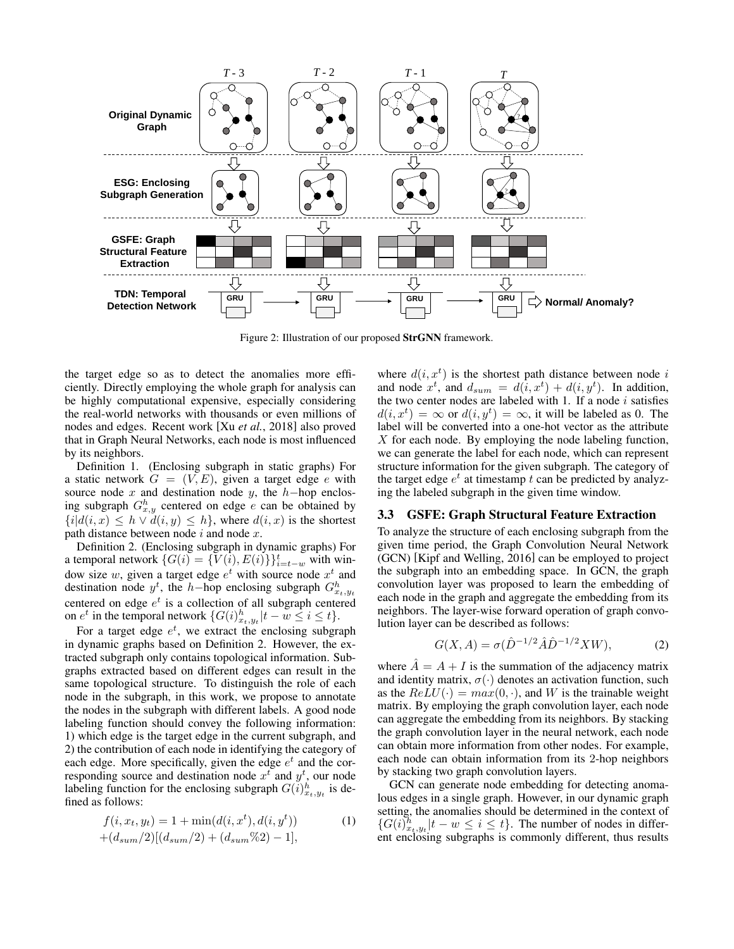<span id="page-2-0"></span>

Figure 2: Illustration of our proposed StrGNN framework.

the target edge so as to detect the anomalies more efficiently. Directly employing the whole graph for analysis can be highly computational expensive, especially considering the real-world networks with thousands or even millions of nodes and edges. Recent work [Xu *et al.*[, 2018\]](#page-6-10) also proved that in Graph Neural Networks, each node is most influenced by its neighbors.

Definition 1. (Enclosing subgraph in static graphs) For a static network  $G = (V, E)$ , given a target edge e with source node x and destination node y, the  $h$ -hop enclosing subgraph  $G_{x,y}^h$  centered on edge e can be obtained by  ${i|d(i, x) \leq h \vee d(i, y) \leq h}$ , where  $d(i, x)$  is the shortest path distance between node  $i$  and node  $x$ .

Definition 2. (Enclosing subgraph in dynamic graphs) For a temporal network  $\{G(i) = \{\overline{V(i)}, E(i)\}\}_{i=t-w}^t$  with window size w, given a target edge  $e^t$  with source node  $x^t$  and destination node  $y^t$ , the h-hop enclosing subgraph  $G_{x_t,y_t}^h$ centered on edge  $e^t$  is a collection of all subgraph centered on  $e^t$  in the temporal network  $\{G(i)^h_{x_t,y_t}|t-w\leq i\leq t\}$ .

For a target edge  $e^t$ , we extract the enclosing subgraph in dynamic graphs based on Definition 2. However, the extracted subgraph only contains topological information. Subgraphs extracted based on different edges can result in the same topological structure. To distinguish the role of each node in the subgraph, in this work, we propose to annotate the nodes in the subgraph with different labels. A good node labeling function should convey the following information: 1) which edge is the target edge in the current subgraph, and 2) the contribution of each node in identifying the category of each edge. More specifically, given the edge  $e^t$  and the corresponding source and destination node  $x^t$  and  $y^t$ , our node labeling function for the enclosing subgraph  $G(i)_{x_t,y_t}^h$  is defined as follows:

$$
f(i, x_t, y_t) = 1 + \min(d(i, x^t), d(i, y^t))
$$
  
 
$$
+ (d_{sum}/2)[(d_{sum}/2) + (d_{sum}\%2) - 1],
$$
 (1)

where  $d(i, x<sup>t</sup>)$  is the shortest path distance between node i and node  $x^t$ , and  $d_{sum} = d(i, x^t) + d(i, y^t)$ . In addition, the two center nodes are labeled with 1. If a node  $i$  satisfies  $d(i, x^t) = \infty$  or  $d(i, y^t) = \infty$ , it will be labeled as 0. The label will be converted into a one-hot vector as the attribute  $X$  for each node. By employing the node labeling function, we can generate the label for each node, which can represent structure information for the given subgraph. The category of the target edge  $e^t$  at timestamp t can be predicted by analyzing the labeled subgraph in the given time window.

#### 3.3 GSFE: Graph Structural Feature Extraction

To analyze the structure of each enclosing subgraph from the given time period, the Graph Convolution Neural Network (GCN) [\[Kipf and Welling, 2016\]](#page-6-11) can be employed to project the subgraph into an embedding space. In GCN, the graph convolution layer was proposed to learn the embedding of each node in the graph and aggregate the embedding from its neighbors. The layer-wise forward operation of graph convolution layer can be described as follows:

$$
G(X, A) = \sigma(\hat{D}^{-1/2}\hat{A}\hat{D}^{-1/2}XW),
$$
 (2)

where  $\ddot{A} = A + I$  is the summation of the adjacency matrix and identity matrix,  $\sigma(\cdot)$  denotes an activation function, such as the  $ReLU(\cdot) = max(0, \cdot)$ , and W is the trainable weight matrix. By employing the graph convolution layer, each node can aggregate the embedding from its neighbors. By stacking the graph convolution layer in the neural network, each node can obtain more information from other nodes. For example, each node can obtain information from its 2-hop neighbors by stacking two graph convolution layers.

GCN can generate node embedding for detecting anomalous edges in a single graph. However, in our dynamic graph setting, the anomalies should be determined in the context of  $\{G(i)\}_{x_t,y_t}^h | t - w \leq i \leq t\}$ . The number of nodes in different enclosing subgraphs is commonly different, thus results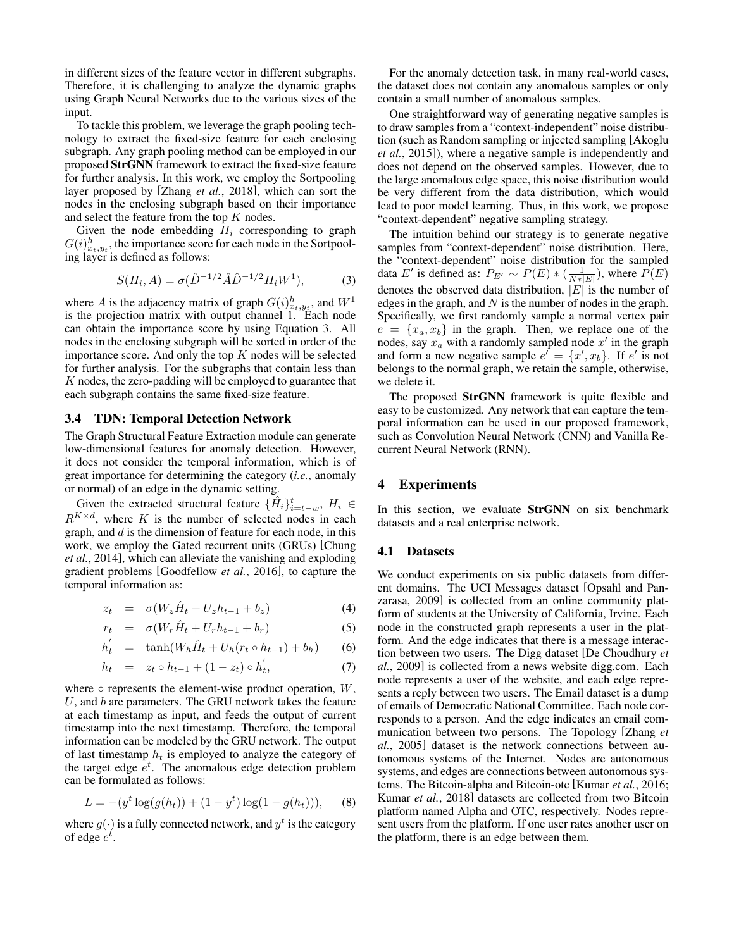in different sizes of the feature vector in different subgraphs. Therefore, it is challenging to analyze the dynamic graphs using Graph Neural Networks due to the various sizes of the input.

To tackle this problem, we leverage the graph pooling technology to extract the fixed-size feature for each enclosing subgraph. Any graph pooling method can be employed in our proposed StrGNN framework to extract the fixed-size feature for further analysis. In this work, we employ the Sortpooling layer proposed by [Zhang *et al.*[, 2018\]](#page-6-12), which can sort the nodes in the enclosing subgraph based on their importance and select the feature from the top  $K$  nodes.

Given the node embedding  $H_i$  corresponding to graph  $G(i)_{x_t,y_t}^h$ , the importance score for each node in the Sortpooling layer is defined as follows:

<span id="page-3-0"></span>
$$
S(H_i, A) = \sigma(\hat{D}^{-1/2}\hat{A}\hat{D}^{-1/2}H_iW^1),
$$
 (3)

where A is the adjacency matrix of graph  $G(i)_{x_t,y_t}^h$ , and  $W^1$ is the projection matrix with output channel 1. Each node can obtain the importance score by using Equation [3.](#page-3-0) All nodes in the enclosing subgraph will be sorted in order of the importance score. And only the top  $K$  nodes will be selected for further analysis. For the subgraphs that contain less than  $K$  nodes, the zero-padding will be employed to guarantee that each subgraph contains the same fixed-size feature.

#### 3.4 TDN: Temporal Detection Network

The Graph Structural Feature Extraction module can generate low-dimensional features for anomaly detection. However, it does not consider the temporal information, which is of great importance for determining the category (*i.e.*, anomaly or normal) of an edge in the dynamic setting.

Given the extracted structural feature  $\{\hat{H}_i\}_{i=t-w}^t$ ,  $H_i \in$  $R^{K \times d}$ , where K is the number of selected nodes in each graph, and  $d$  is the dimension of feature for each node, in this work, we employ the Gated recurrent units (GRUs) [\[Chung](#page-6-13) *et al.*[, 2014\]](#page-6-13), which can alleviate the vanishing and exploding gradient problems [\[Goodfellow](#page-6-14) *et al.*, 2016], to capture the temporal information as:

$$
z_t = \sigma(W_z \hat{H}_t + U_z h_{t-1} + b_z) \tag{4}
$$

$$
r_t = \sigma(W_r \hat{H}_t + U_r h_{t-1} + b_r) \tag{5}
$$

$$
h_t' = \tanh(W_h \hat{H}_t + U_h(r_t \circ h_{t-1}) + b_h) \qquad (6)
$$

$$
h_t = z_t \circ h_{t-1} + (1 - z_t) \circ h_t', \tag{7}
$$

where  $\circ$  represents the element-wise product operation,  $W$ , U, and  $b$  are parameters. The GRU network takes the feature at each timestamp as input, and feeds the output of current timestamp into the next timestamp. Therefore, the temporal information can be modeled by the GRU network. The output of last timestamp  $h_t$  is employed to analyze the category of the target edge  $e^t$ . The anomalous edge detection problem can be formulated as follows:

$$
L = -(yt \log(g(ht)) + (1 - yt) \log(1 - g(ht))), \quad (8)
$$

where  $g(\cdot)$  is a fully connected network, and  $y^t$  is the category of edge  $e^t$ .

For the anomaly detection task, in many real-world cases, the dataset does not contain any anomalous samples or only contain a small number of anomalous samples.

One straightforward way of generating negative samples is to draw samples from a "context-independent" noise distribution (such as Random sampling or injected sampling [\[Akoglu](#page-5-1) *et al.*[, 2015\]](#page-5-1)), where a negative sample is independently and does not depend on the observed samples. However, due to the large anomalous edge space, this noise distribution would be very different from the data distribution, which would lead to poor model learning. Thus, in this work, we propose "context-dependent" negative sampling strategy.

The intuition behind our strategy is to generate negative samples from "context-dependent" noise distribution. Here, the "context-dependent" noise distribution for the sampled data E' is defined as:  $P_{E'} \sim P(E) * (\frac{1}{N*|E|})$ , where  $P(E)$ denotes the observed data distribution,  $|E|$  is the number of edges in the graph, and  $N$  is the number of nodes in the graph. Specifically, we first randomly sample a normal vertex pair  $e = \{x_a, x_b\}$  in the graph. Then, we replace one of the nodes, say  $x_a$  with a randomly sampled node  $x'$  in the graph and form a new negative sample  $e' = \{x', x_b\}$ . If  $e'$  is not belongs to the normal graph, we retain the sample, otherwise, we delete it.

The proposed StrGNN framework is quite flexible and easy to be customized. Any network that can capture the temporal information can be used in our proposed framework, such as Convolution Neural Network (CNN) and Vanilla Recurrent Neural Network (RNN).

## 4 Experiments

In this section, we evaluate **StrGNN** on six benchmark datasets and a real enterprise network.

#### 4.1 Datasets

We conduct experiments on six public datasets from different domains. The UCI Messages dataset [\[Opsahl and Pan](#page-6-15)[zarasa, 2009\]](#page-6-15) is collected from an online community platform of students at the University of California, Irvine. Each node in the constructed graph represents a user in the platform. And the edge indicates that there is a message interaction between two users. The Digg dataset [\[De Choudhury](#page-6-16) *et al.*[, 2009\]](#page-6-16) is collected from a news website digg.com. Each node represents a user of the website, and each edge represents a reply between two users. The Email dataset is a dump of emails of Democratic National Committee. Each node corresponds to a person. And the edge indicates an email communication between two persons. The Topology [\[Zhang](#page-6-17) *et al.*[, 2005\]](#page-6-17) dataset is the network connections between autonomous systems of the Internet. Nodes are autonomous systems, and edges are connections between autonomous systems. The Bitcoin-alpha and Bitcoin-otc [\[Kumar](#page-6-18) *et al.*, 2016; Kumar *et al.*[, 2018\]](#page-6-19) datasets are collected from two Bitcoin platform named Alpha and OTC, respectively. Nodes represent users from the platform. If one user rates another user on the platform, there is an edge between them.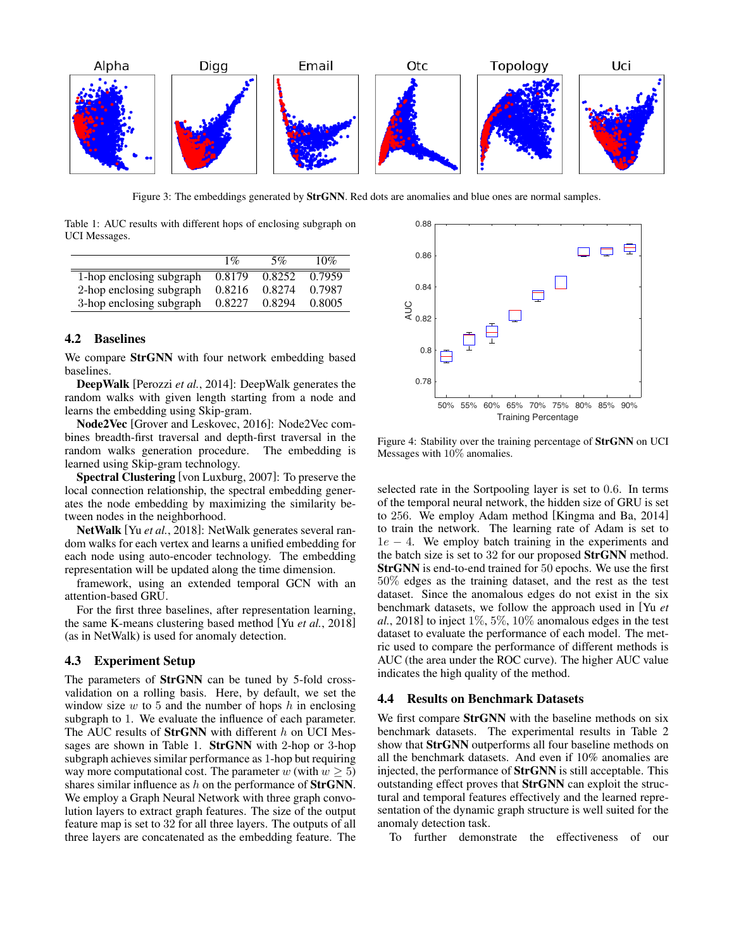<span id="page-4-1"></span>

Figure 3: The embeddings generated by **StrGNN**. Red dots are anomalies and blue ones are normal samples.

<span id="page-4-0"></span>Table 1: AUC results with different hops of enclosing subgraph on UCI Messages.

|                          | $1\%$  | 5%     | 10%    |
|--------------------------|--------|--------|--------|
| 1-hop enclosing subgraph | 0.8179 | 0.8252 | 0.7959 |
| 2-hop enclosing subgraph | 0.8216 | 0.8274 | 0.7987 |
| 3-hop enclosing subgraph | 0.8227 | 0.8294 | 0.8005 |

## 4.2 Baselines

We compare **StrGNN** with four network embedding based baselines.

DeepWalk [\[Perozzi](#page-6-4) *et al.*, 2014]: DeepWalk generates the random walks with given length starting from a node and learns the embedding using Skip-gram.

Node2Vec [\[Grover and Leskovec, 2016\]](#page-6-6): Node2Vec combines breadth-first traversal and depth-first traversal in the random walks generation procedure. The embedding is learned using Skip-gram technology.

Spectral Clustering [\[von Luxburg, 2007\]](#page-6-20): To preserve the local connection relationship, the spectral embedding generates the node embedding by maximizing the similarity between nodes in the neighborhood.

NetWalk [Yu *et al.*[, 2018\]](#page-6-2): NetWalk generates several random walks for each vertex and learns a unified embedding for each node using auto-encoder technology. The embedding representation will be updated along the time dimension.

framework, using an extended temporal GCN with an attention-based GRU.

For the first three baselines, after representation learning, the same K-means clustering based method [Yu *et al.*[, 2018\]](#page-6-2) (as in NetWalk) is used for anomaly detection.

#### 4.3 Experiment Setup

The parameters of StrGNN can be tuned by 5-fold crossvalidation on a rolling basis. Here, by default, we set the window size  $w$  to 5 and the number of hops  $h$  in enclosing subgraph to 1. We evaluate the influence of each parameter. The AUC results of  $StrGNN$  with different  $h$  on UCI Messages are shown in Table [1.](#page-4-0) StrGNN with 2-hop or 3-hop subgraph achieves similar performance as 1-hop but requiring way more computational cost. The parameter w (with  $w \ge 5$ ) shares similar influence as  $h$  on the performance of **StrGNN**. We employ a Graph Neural Network with three graph convolution layers to extract graph features. The size of the output feature map is set to 32 for all three layers. The outputs of all three layers are concatenated as the embedding feature. The

<span id="page-4-2"></span>

Figure 4: Stability over the training percentage of StrGNN on UCI Messages with 10% anomalies.

selected rate in the Sortpooling layer is set to 0.6. In terms of the temporal neural network, the hidden size of GRU is set to 256. We employ Adam method [\[Kingma and Ba, 2014\]](#page-6-21) to train the network. The learning rate of Adam is set to  $1e - 4$ . We employ batch training in the experiments and the batch size is set to 32 for our proposed StrGNN method. StrGNN is end-to-end trained for 50 epochs. We use the first 50% edges as the training dataset, and the rest as the test dataset. Since the anomalous edges do not exist in the six benchmark datasets, we follow the approach used in [\[Yu](#page-6-2) *et al.*[, 2018\]](#page-6-2) to inject 1%, 5%, 10% anomalous edges in the test dataset to evaluate the performance of each model. The metric used to compare the performance of different methods is AUC (the area under the ROC curve). The higher AUC value indicates the high quality of the method.

## 4.4 Results on Benchmark Datasets

We first compare StrGNN with the baseline methods on six benchmark datasets. The experimental results in Table [2](#page-5-3) show that StrGNN outperforms all four baseline methods on all the benchmark datasets. And even if 10% anomalies are injected, the performance of StrGNN is still acceptable. This outstanding effect proves that StrGNN can exploit the structural and temporal features effectively and the learned representation of the dynamic graph structure is well suited for the anomaly detection task.

To further demonstrate the effectiveness of our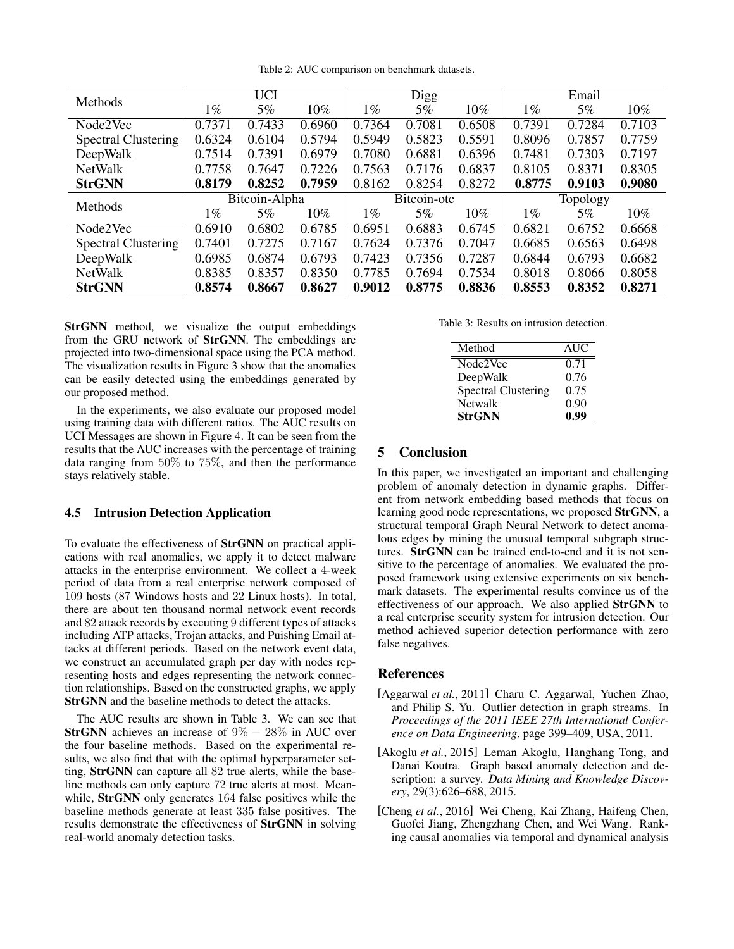Table 2: AUC comparison on benchmark datasets.

<span id="page-5-3"></span>

| <b>Methods</b>             | <b>UCI</b>    |        | <b>Digg</b> |             | Email  |        |          |        |        |
|----------------------------|---------------|--------|-------------|-------------|--------|--------|----------|--------|--------|
|                            | $1\%$         | 5%     | $10\%$      | $1\%$       | 5%     | $10\%$ | $1\%$    | 5%     | 10%    |
| Node2Vec                   | 0.7371        | 0.7433 | 0.6960      | 0.7364      | 0.7081 | 0.6508 | 0.7391   | 0.7284 | 0.7103 |
| <b>Spectral Clustering</b> | 0.6324        | 0.6104 | 0.5794      | 0.5949      | 0.5823 | 0.5591 | 0.8096   | 0.7857 | 0.7759 |
| DeepWalk                   | 0.7514        | 0.7391 | 0.6979      | 0.7080      | 0.6881 | 0.6396 | 0.7481   | 0.7303 | 0.7197 |
| <b>NetWalk</b>             | 0.7758        | 0.7647 | 0.7226      | 0.7563      | 0.7176 | 0.6837 | 0.8105   | 0.8371 | 0.8305 |
| <b>StrGNN</b>              | 0.8179        | 0.8252 | 0.7959      | 0.8162      | 0.8254 | 0.8272 | 0.8775   | 0.9103 | 0.9080 |
| <b>Methods</b>             | Bitcoin-Alpha |        |             | Bitcoin-otc |        |        | Topology |        |        |
|                            | $1\%$         | 5%     | $10\%$      | $1\%$       | 5%     | $10\%$ | $1\%$    | $5\%$  | 10%    |
| Node2Vec                   | 0.6910        | 0.6802 | 0.6785      | 0.6951      | 0.6883 | 0.6745 | 0.6821   | 0.6752 | 0.6668 |
| <b>Spectral Clustering</b> | 0.7401        | 0.7275 | 0.7167      | 0.7624      | 0.7376 | 0.7047 | 0.6685   | 0.6563 | 0.6498 |
| DeepWalk                   | 0.6985        | 0.6874 | 0.6793      | 0.7423      | 0.7356 | 0.7287 | 0.6844   | 0.6793 | 0.6682 |
| <b>NetWalk</b>             | 0.8385        | 0.8357 | 0.8350      | 0.7785      | 0.7694 | 0.7534 | 0.8018   | 0.8066 | 0.8058 |
| <b>StrGNN</b>              | 0.8574        | 0.8667 | 0.8627      | 0.9012      | 0.8775 | 0.8836 | 0.8553   | 0.8352 | 0.8271 |

StrGNN method, we visualize the output embeddings from the GRU network of StrGNN. The embeddings are projected into two-dimensional space using the PCA method. The visualization results in Figure [3](#page-4-1) show that the anomalies can be easily detected using the embeddings generated by our proposed method.

In the experiments, we also evaluate our proposed model using training data with different ratios. The AUC results on UCI Messages are shown in Figure [4.](#page-4-2) It can be seen from the results that the AUC increases with the percentage of training data ranging from 50% to 75%, and then the performance stays relatively stable.

## 4.5 Intrusion Detection Application

To evaluate the effectiveness of StrGNN on practical applications with real anomalies, we apply it to detect malware attacks in the enterprise environment. We collect a 4-week period of data from a real enterprise network composed of 109 hosts (87 Windows hosts and 22 Linux hosts). In total, there are about ten thousand normal network event records and 82 attack records by executing 9 different types of attacks including ATP attacks, Trojan attacks, and Puishing Email attacks at different periods. Based on the network event data, we construct an accumulated graph per day with nodes representing hosts and edges representing the network connection relationships. Based on the constructed graphs, we apply StrGNN and the baseline methods to detect the attacks.

The AUC results are shown in Table [3.](#page-5-4) We can see that **StrGNN** achieves an increase of  $9\% - 28\%$  in AUC over the four baseline methods. Based on the experimental results, we also find that with the optimal hyperparameter setting, StrGNN can capture all 82 true alerts, while the baseline methods can only capture 72 true alerts at most. Meanwhile, StrGNN only generates 164 false positives while the baseline methods generate at least 335 false positives. The results demonstrate the effectiveness of StrGNN in solving real-world anomaly detection tasks.

<span id="page-5-4"></span>Table 3: Results on intrusion detection.

| Method                     | <b>AUC</b> |
|----------------------------|------------|
| Node2Vec                   | 0.71       |
| DeepWalk                   | 0.76       |
| <b>Spectral Clustering</b> | 0.75       |
| <b>Netwalk</b>             | 0.90       |
| <b>StrGNN</b>              | 0.99       |

## 5 Conclusion

In this paper, we investigated an important and challenging problem of anomaly detection in dynamic graphs. Different from network embedding based methods that focus on learning good node representations, we proposed StrGNN, a structural temporal Graph Neural Network to detect anomalous edges by mining the unusual temporal subgraph structures. StrGNN can be trained end-to-end and it is not sensitive to the percentage of anomalies. We evaluated the proposed framework using extensive experiments on six benchmark datasets. The experimental results convince us of the effectiveness of our approach. We also applied StrGNN to a real enterprise security system for intrusion detection. Our method achieved superior detection performance with zero false negatives.

## References

- <span id="page-5-0"></span>[Aggarwal *et al.*, 2011] Charu C. Aggarwal, Yuchen Zhao, and Philip S. Yu. Outlier detection in graph streams. In *Proceedings of the 2011 IEEE 27th International Conference on Data Engineering*, page 399–409, USA, 2011.
- <span id="page-5-1"></span>[Akoglu *et al.*, 2015] Leman Akoglu, Hanghang Tong, and Danai Koutra. Graph based anomaly detection and description: a survey. *Data Mining and Knowledge Discovery*, 29(3):626–688, 2015.
- <span id="page-5-2"></span>[Cheng *et al.*, 2016] Wei Cheng, Kai Zhang, Haifeng Chen, Guofei Jiang, Zhengzhang Chen, and Wei Wang. Ranking causal anomalies via temporal and dynamical analysis